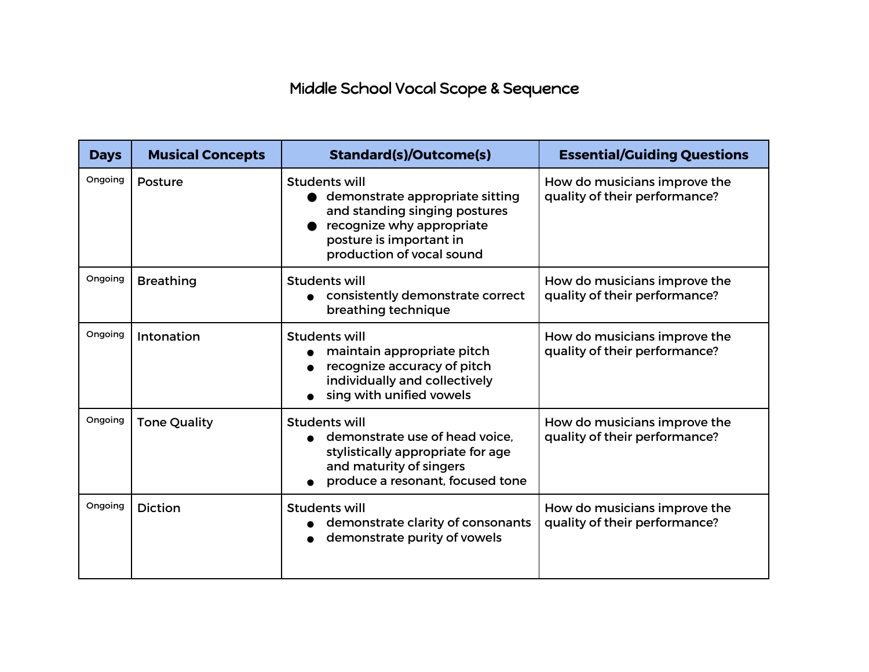## Middle School Vocal Scope & Sequence

| <b>Days</b> | <b>Musical Concepts</b> | <b>Standard(s)/Outcome(s)</b>                                                                                                                                                 | <b>Essential/Guiding Questions</b>                            |
|-------------|-------------------------|-------------------------------------------------------------------------------------------------------------------------------------------------------------------------------|---------------------------------------------------------------|
| Ongoing     | Posture                 | <b>Students will</b><br>demonstrate appropriate sitting<br>and standing singing postures<br>recognize why appropriate<br>posture is important in<br>production of vocal sound | How do musicians improve the<br>quality of their performance? |
| Ongoing     | <b>Breathing</b>        | Students will<br>consistently demonstrate correct<br>breathing technique                                                                                                      | How do musicians improve the<br>quality of their performance? |
| Ongoing     | Intonation              | Students will<br>maintain appropriate pitch<br>recognize accuracy of pitch<br>individually and collectively<br>sing with unified vowels                                       | How do musicians improve the<br>quality of their performance? |
| Ongoing     | <b>Tone Quality</b>     | <b>Students will</b><br>demonstrate use of head voice.<br>stylistically appropriate for age<br>and maturity of singers<br>produce a resonant, focused tone                    | How do musicians improve the<br>quality of their performance? |
| Ongoing     | <b>Diction</b>          | Students will<br>demonstrate clarity of consonants<br>demonstrate purity of vowels                                                                                            | How do musicians improve the<br>quality of their performance? |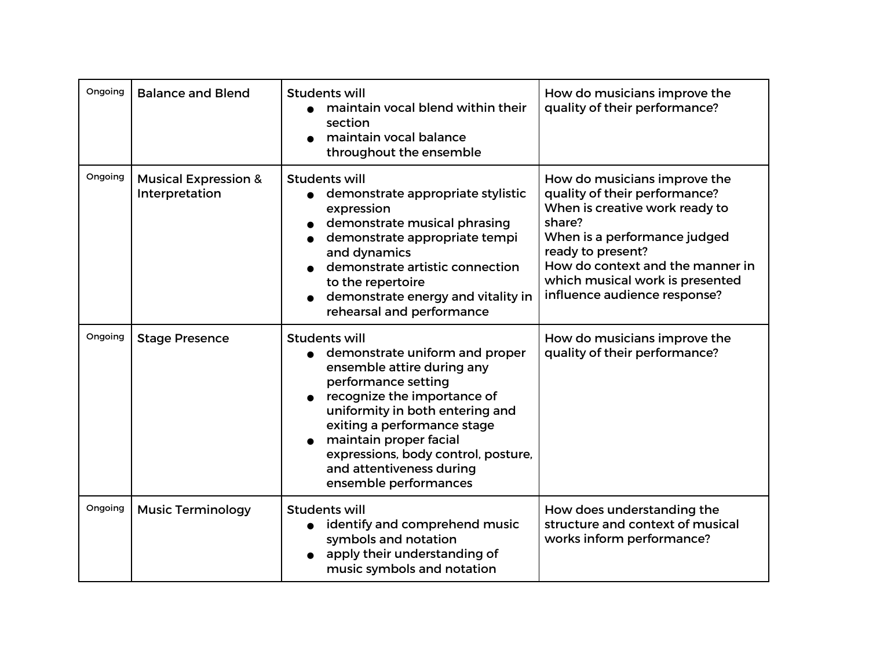| Ongoing | <b>Balance and Blend</b>                          | Students will<br>maintain vocal blend within their<br>section<br>maintain vocal balance<br>throughout the ensemble                                                                                                                                                                                                                 | How do musicians improve the<br>quality of their performance?                                                                                                                                                                                                         |
|---------|---------------------------------------------------|------------------------------------------------------------------------------------------------------------------------------------------------------------------------------------------------------------------------------------------------------------------------------------------------------------------------------------|-----------------------------------------------------------------------------------------------------------------------------------------------------------------------------------------------------------------------------------------------------------------------|
| Ongoing | <b>Musical Expression &amp;</b><br>Interpretation | <b>Students will</b><br>demonstrate appropriate stylistic<br>expression<br>demonstrate musical phrasing<br>demonstrate appropriate tempi<br>and dynamics<br>demonstrate artistic connection<br>to the repertoire<br>demonstrate energy and vitality in<br>rehearsal and performance                                                | How do musicians improve the<br>quality of their performance?<br>When is creative work ready to<br>share?<br>When is a performance judged<br>ready to present?<br>How do context and the manner in<br>which musical work is presented<br>influence audience response? |
| Ongoing | <b>Stage Presence</b>                             | <b>Students will</b><br>demonstrate uniform and proper<br>ensemble attire during any<br>performance setting<br>recognize the importance of<br>uniformity in both entering and<br>exiting a performance stage<br>maintain proper facial<br>expressions, body control, posture,<br>and attentiveness during<br>ensemble performances | How do musicians improve the<br>quality of their performance?                                                                                                                                                                                                         |
| Ongoing | <b>Music Terminology</b>                          | <b>Students will</b><br>identify and comprehend music<br>$\bullet$<br>symbols and notation<br>apply their understanding of<br>music symbols and notation                                                                                                                                                                           | How does understanding the<br>structure and context of musical<br>works inform performance?                                                                                                                                                                           |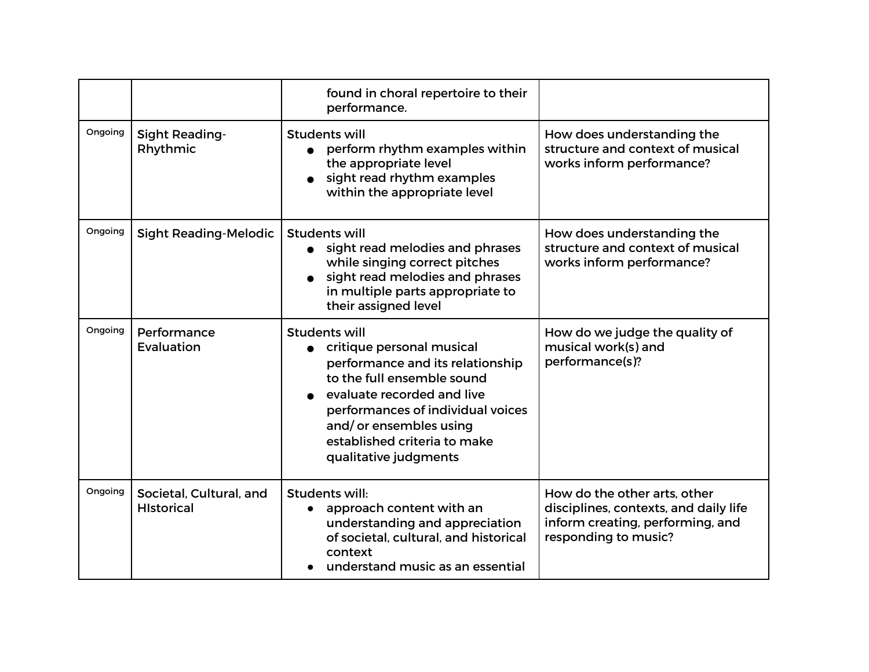|         |                                              | found in choral repertoire to their<br>performance.                                                                                                                                                                                                                         |                                                                                                                                   |
|---------|----------------------------------------------|-----------------------------------------------------------------------------------------------------------------------------------------------------------------------------------------------------------------------------------------------------------------------------|-----------------------------------------------------------------------------------------------------------------------------------|
| Ongoing | <b>Sight Reading-</b><br>Rhythmic            | <b>Students will</b><br>perform rhythm examples within<br>the appropriate level<br>sight read rhythm examples<br>within the appropriate level                                                                                                                               | How does understanding the<br>structure and context of musical<br>works inform performance?                                       |
| Ongoing | <b>Sight Reading-Melodic</b>                 | <b>Students will</b><br>sight read melodies and phrases<br>$\bullet$<br>while singing correct pitches<br>sight read melodies and phrases<br>in multiple parts appropriate to<br>their assigned level                                                                        | How does understanding the<br>structure and context of musical<br>works inform performance?                                       |
| Ongoing | Performance<br>Evaluation                    | <b>Students will</b><br>• critique personal musical<br>performance and its relationship<br>to the full ensemble sound<br>evaluate recorded and live<br>performances of individual voices<br>and/or ensembles using<br>established criteria to make<br>qualitative judgments | How do we judge the quality of<br>musical work(s) and<br>performance(s)?                                                          |
| Ongoing | Societal, Cultural, and<br><b>Historical</b> | Students will:<br>approach content with an<br>understanding and appreciation<br>of societal, cultural, and historical<br>context<br>understand music as an essential                                                                                                        | How do the other arts, other<br>disciplines, contexts, and daily life<br>inform creating, performing, and<br>responding to music? |